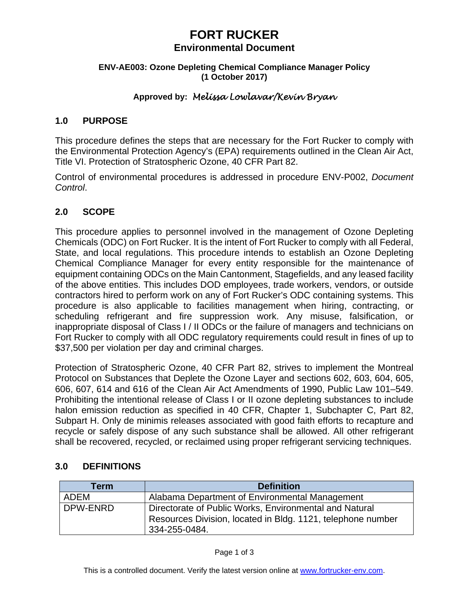# **FORT RUCKER**

# **Environmental Document**

#### **ENV-AE003: Ozone Depleting Chemical Compliance Manager Policy (1 October 2017)**

# **Approved by:** *Melissa Lowlavar/Kevin Bryan*

# **1.0 PURPOSE**

This procedure defines the steps that are necessary for the Fort Rucker to comply with the Environmental Protection Agency's (EPA) requirements outlined in the Clean Air Act, Title VI. Protection of Stratospheric Ozone, 40 CFR Part 82.

Control of environmental procedures is addressed in procedure ENV-P002, *Document Control*.

# **2.0 SCOPE**

This procedure applies to personnel involved in the management of Ozone Depleting Chemicals (ODC) on Fort Rucker. It is the intent of Fort Rucker to comply with all Federal, State, and local regulations. This procedure intends to establish an Ozone Depleting Chemical Compliance Manager for every entity responsible for the maintenance of equipment containing ODCs on the Main Cantonment, Stagefields, and any leased facility of the above entities. This includes DOD employees, trade workers, vendors, or outside contractors hired to perform work on any of Fort Rucker's ODC containing systems. This procedure is also applicable to facilities management when hiring, contracting, or scheduling refrigerant and fire suppression work. Any misuse, falsification, or inappropriate disposal of Class I / II ODCs or the failure of managers and technicians on Fort Rucker to comply with all ODC regulatory requirements could result in fines of up to \$37,500 per violation per day and criminal charges.

Protection of Stratospheric Ozone, 40 CFR Part 82, strives to implement the Montreal Protocol on Substances that Deplete the Ozone Layer and sections 602, 603, 604, 605, 606, 607, 614 and 616 of the Clean Air Act Amendments of 1990, Public Law 101–549. Prohibiting the intentional release of Class I or II ozone depleting substances to include halon emission reduction as specified in 40 CFR, Chapter 1, Subchapter C, Part 82, Subpart H. Only de minimis releases associated with good faith efforts to recapture and recycle or safely dispose of any such substance shall be allowed. All other refrigerant shall be recovered, recycled, or reclaimed using proper refrigerant servicing techniques.

# **3.0 DEFINITIONS**

| Term        | <b>Definition</b>                                           |
|-------------|-------------------------------------------------------------|
| <b>ADEM</b> | Alabama Department of Environmental Management              |
| DPW-ENRD    | Directorate of Public Works, Environmental and Natural      |
|             | Resources Division, located in Bldg. 1121, telephone number |
|             | 334-255-0484.                                               |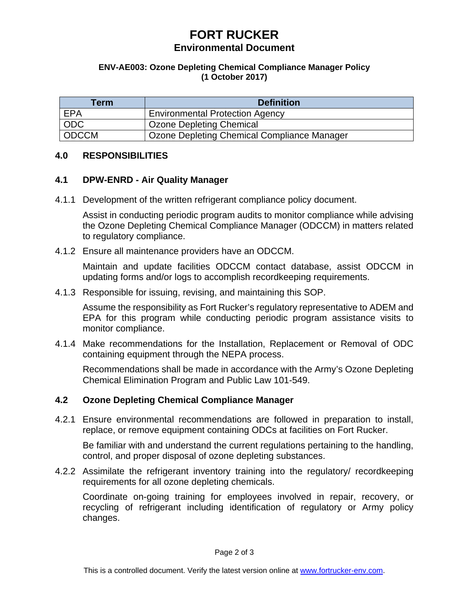# **FORT RUCKER Environmental Document**

#### **ENV-AE003: Ozone Depleting Chemical Compliance Manager Policy (1 October 2017)**

| Term       | <b>Definition</b>                           |
|------------|---------------------------------------------|
| EPA        | <b>Environmental Protection Agency</b>      |
| <b>ODC</b> | Ozone Depleting Chemical                    |
| ODCCM      | Ozone Depleting Chemical Compliance Manager |

#### **4.0 RESPONSIBILITIES**

#### **4.1 DPW-ENRD - Air Quality Manager**

4.1.1 Development of the written refrigerant compliance policy document.

Assist in conducting periodic program audits to monitor compliance while advising the Ozone Depleting Chemical Compliance Manager (ODCCM) in matters related to regulatory compliance.

4.1.2 Ensure all maintenance providers have an ODCCM.

Maintain and update facilities ODCCM contact database, assist ODCCM in updating forms and/or logs to accomplish recordkeeping requirements.

4.1.3 Responsible for issuing, revising, and maintaining this SOP.

Assume the responsibility as Fort Rucker's regulatory representative to ADEM and EPA for this program while conducting periodic program assistance visits to monitor compliance.

4.1.4 Make recommendations for the Installation, Replacement or Removal of ODC containing equipment through the NEPA process.

Recommendations shall be made in accordance with the Army's Ozone Depleting Chemical Elimination Program and Public Law 101-549.

#### **4.2 Ozone Depleting Chemical Compliance Manager**

4.2.1 Ensure environmental recommendations are followed in preparation to install, replace, or remove equipment containing ODCs at facilities on Fort Rucker.

Be familiar with and understand the current regulations pertaining to the handling, control, and proper disposal of ozone depleting substances.

4.2.2 Assimilate the refrigerant inventory training into the regulatory/ recordkeeping requirements for all ozone depleting chemicals.

Coordinate on-going training for employees involved in repair, recovery, or recycling of refrigerant including identification of regulatory or Army policy changes.